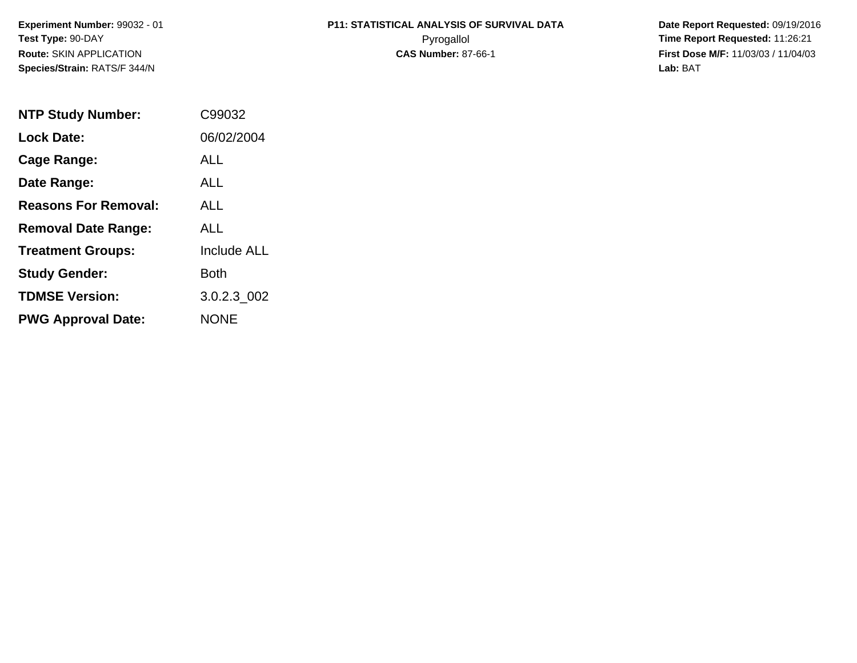# **P11: STATISTICAL ANALYSIS OF SURVIVAL DATA**

 **Date Report Requested:** 09/19/2016 Pyrogallol **Time Report Requested:** 11:26:21 **First Dose M/F:** 11/03/03 / 11/04/03<br>**Lab:** BAT **Lab:** BAT

| <b>NTP Study Number:</b>    | C99032             |
|-----------------------------|--------------------|
| <b>Lock Date:</b>           | 06/02/2004         |
| Cage Range:                 | ALL                |
| Date Range:                 | AI I               |
| <b>Reasons For Removal:</b> | ALL.               |
| <b>Removal Date Range:</b>  | ALL                |
| <b>Treatment Groups:</b>    | <b>Include ALL</b> |
| <b>Study Gender:</b>        | Both               |
| <b>TDMSE Version:</b>       | 3.0.2.3 002        |
| <b>PWG Approval Date:</b>   | <b>NONE</b>        |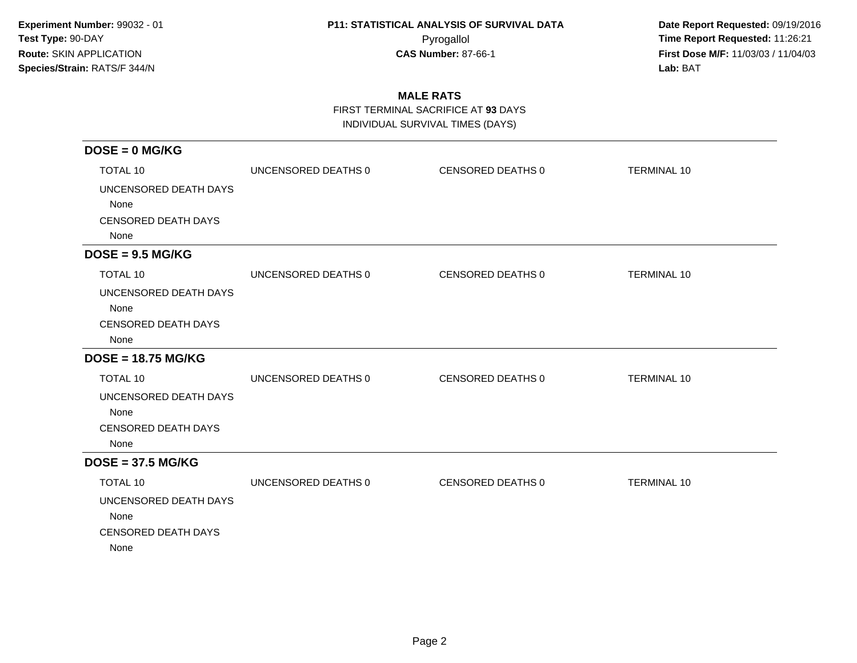**Date Report Requested:** 09/19/2016 Pyrogallol **Time Report Requested:** 11:26:21 **First Dose M/F:** 11/03/03 / 11/04/03<br>**Lab:** BAT **Lab:** BAT

### **MALE RATS**

FIRST TERMINAL SACRIFICE AT **93** DAYS

INDIVIDUAL SURVIVAL TIMES (DAYS)

| $DOSE = 0$ MG/KG                                                    |                     |                   |                    |
|---------------------------------------------------------------------|---------------------|-------------------|--------------------|
| <b>TOTAL 10</b>                                                     | UNCENSORED DEATHS 0 | CENSORED DEATHS 0 | <b>TERMINAL 10</b> |
| UNCENSORED DEATH DAYS<br>None<br><b>CENSORED DEATH DAYS</b><br>None |                     |                   |                    |
| $DOSE = 9.5 MG/KG$                                                  |                     |                   |                    |
| <b>TOTAL 10</b>                                                     | UNCENSORED DEATHS 0 | CENSORED DEATHS 0 | <b>TERMINAL 10</b> |
| UNCENSORED DEATH DAYS<br>None<br><b>CENSORED DEATH DAYS</b><br>None |                     |                   |                    |
| $DOSE = 18.75 MG/KG$                                                |                     |                   |                    |
| <b>TOTAL 10</b>                                                     | UNCENSORED DEATHS 0 | CENSORED DEATHS 0 | <b>TERMINAL 10</b> |
| UNCENSORED DEATH DAYS<br>None<br><b>CENSORED DEATH DAYS</b><br>None |                     |                   |                    |
| $DOSE = 37.5 MG/KG$                                                 |                     |                   |                    |
| <b>TOTAL 10</b>                                                     | UNCENSORED DEATHS 0 | CENSORED DEATHS 0 | <b>TERMINAL 10</b> |
| UNCENSORED DEATH DAYS<br>None<br><b>CENSORED DEATH DAYS</b><br>None |                     |                   |                    |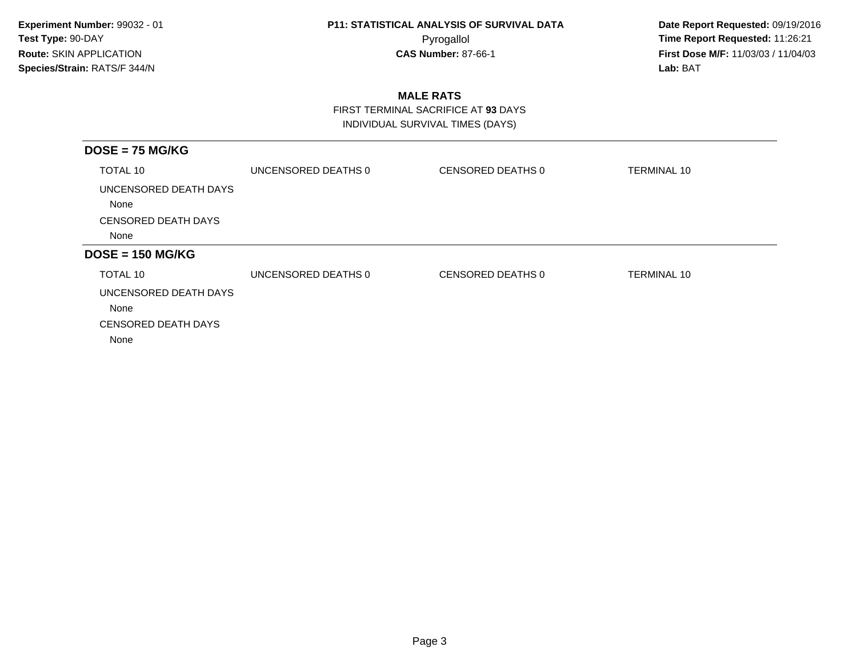**Date Report Requested:** 09/19/2016 Pyrogallol **Time Report Requested:** 11:26:21 **First Dose M/F:** 11/03/03 / 11/04/03<br>**Lab:** BAT **Lab:** BAT

### **MALE RATS**

 FIRST TERMINAL SACRIFICE AT **93** DAYSINDIVIDUAL SURVIVAL TIMES (DAYS)

| $DOSE = 75 MG/KG$                  |                     |                   |                    |
|------------------------------------|---------------------|-------------------|--------------------|
| TOTAL 10                           | UNCENSORED DEATHS 0 | CENSORED DEATHS 0 | <b>TERMINAL 10</b> |
| UNCENSORED DEATH DAYS<br>None      |                     |                   |                    |
| <b>CENSORED DEATH DAYS</b>         |                     |                   |                    |
| None                               |                     |                   |                    |
| $DOSE = 150 MG/KG$                 |                     |                   |                    |
| TOTAL 10                           | UNCENSORED DEATHS 0 | CENSORED DEATHS 0 | <b>TERMINAL 10</b> |
| UNCENSORED DEATH DAYS<br>None      |                     |                   |                    |
| <b>CENSORED DEATH DAYS</b><br>None |                     |                   |                    |
|                                    |                     |                   |                    |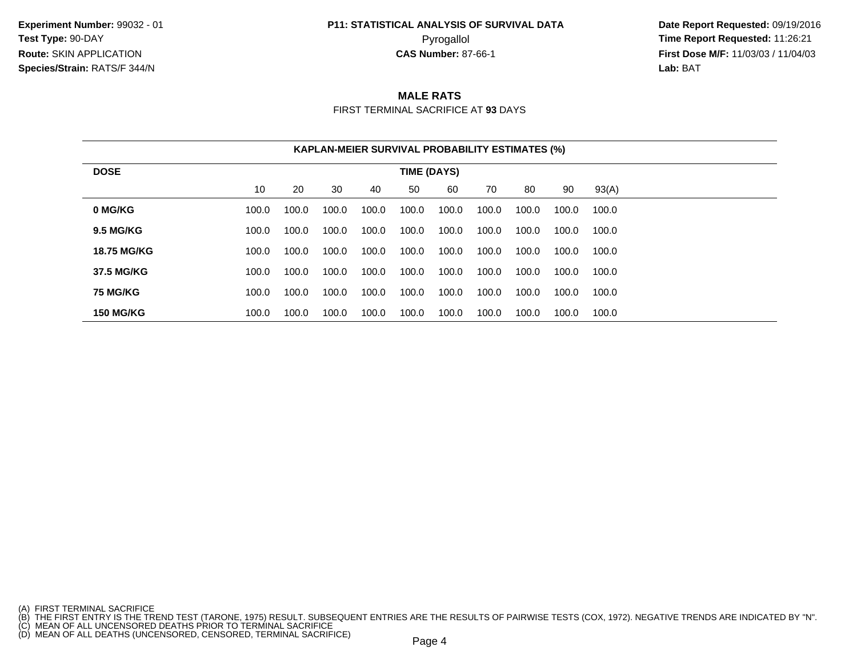## **P11: STATISTICAL ANALYSIS OF SURVIVAL DATA**

 **Date Report Requested:** 09/19/2016 Pyrogallol **Time Report Requested:** 11:26:21 **First Dose M/F:** 11/03/03 / 11/04/03<br>**Lab:** BAT **Lab:** BAT

#### **MALE RATS**

FIRST TERMINAL SACRIFICE AT **93** DAYS

|                    |       |       |       |       | <b>KAPLAN-MEIER SURVIVAL PROBABILITY ESTIMATES (%)</b> |       |       |       |       |       |  |
|--------------------|-------|-------|-------|-------|--------------------------------------------------------|-------|-------|-------|-------|-------|--|
| <b>DOSE</b>        |       |       |       |       | TIME (DAYS)                                            |       |       |       |       |       |  |
|                    | 10    | 20    | 30    | 40    | 50                                                     | 60    | 70    | 80    | 90    | 93(A) |  |
| 0 MG/KG            | 100.0 | 100.0 | 100.0 | 100.0 | 100.0                                                  | 100.0 | 100.0 | 100.0 | 100.0 | 100.0 |  |
| <b>9.5 MG/KG</b>   | 100.0 | 100.0 | 100.0 | 100.0 | 100.0                                                  | 100.0 | 100.0 | 100.0 | 100.0 | 100.0 |  |
| <b>18.75 MG/KG</b> | 100.0 | 100.0 | 100.0 | 100.0 | 100.0                                                  | 100.0 | 100.0 | 100.0 | 100.0 | 100.0 |  |
| 37.5 MG/KG         | 100.0 | 100.0 | 100.0 | 100.0 | 100.0                                                  | 100.0 | 100.0 | 100.0 | 100.0 | 100.0 |  |
| <b>75 MG/KG</b>    | 100.0 | 100.0 | 100.0 | 100.0 | 100.0                                                  | 100.0 | 100.0 | 100.0 | 100.0 | 100.0 |  |
| <b>150 MG/KG</b>   | 100.0 | 100.0 | 100.0 | 100.0 | 100.0                                                  | 100.0 | 100.0 | 100.0 | 100.0 | 100.0 |  |

<sup>(</sup>A) FIRST TERMINAL SACRIFICE<br>(B) THE FIRST ENTRY IS THE TREND TEST (TARONE, 1975) RESULT. SUBSEQUENT ENTRIES ARE THE RESULTS OF PAIRWISE TESTS (COX, 1972). NEGATIVE TRENDS ARE INDICATED BY "N".<br>(C) MEAN OF ALL UNCENSORED D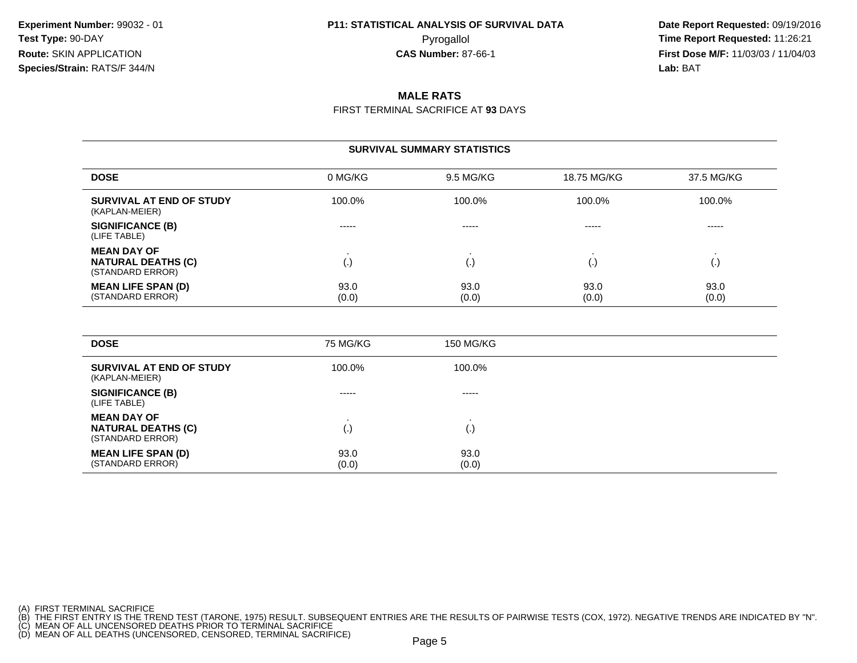**Date Report Requested:** 09/19/2016 Pyrogallol **Time Report Requested:** 11:26:21 **First Dose M/F:** 11/03/03 / 11/04/03<br>**Lab:** BAT **Lab:** BAT

### **MALE RATS**

FIRST TERMINAL SACRIFICE AT **93** DAYS

#### **SURVIVAL SUMMARY STATISTICS**

| <b>DOSE</b>                                                         | 0 MG/KG       | 9.5 MG/KG     | 18.75 MG/KG   | 37.5 MG/KG    |
|---------------------------------------------------------------------|---------------|---------------|---------------|---------------|
| SURVIVAL AT END OF STUDY<br>(KAPLAN-MEIER)                          | 100.0%        | 100.0%        | 100.0%        | 100.0%        |
| <b>SIGNIFICANCE (B)</b><br>(LIFE TABLE)                             | -----         | -----         | -----         | -----         |
| <b>MEAN DAY OF</b><br><b>NATURAL DEATHS (C)</b><br>(STANDARD ERROR) | $\cdot$       | ι٠.           |               | ι٠,           |
| <b>MEAN LIFE SPAN (D)</b><br>(STANDARD ERROR)                       | 93.0<br>(0.0) | 93.0<br>(0.0) | 93.0<br>(0.0) | 93.0<br>(0.0) |

| <b>DOSE</b>                                                         | 75 MG/KG      | 150 MG/KG          |  |
|---------------------------------------------------------------------|---------------|--------------------|--|
| SURVIVAL AT END OF STUDY<br>(KAPLAN-MEIER)                          | 100.0%        | 100.0%             |  |
| <b>SIGNIFICANCE (B)</b><br>(LIFE TABLE)                             | -----         | -----              |  |
| <b>MEAN DAY OF</b><br><b>NATURAL DEATHS (C)</b><br>(STANDARD ERROR) | (.)           | $\left( . \right)$ |  |
| <b>MEAN LIFE SPAN (D)</b><br>(STANDARD ERROR)                       | 93.0<br>(0.0) | 93.0<br>(0.0)      |  |

(A) FIRST TERMINAL SACRIFICE<br>(B) THE FIRST ENTRY IS THE TREND TEST (TARONE, 1975) RESULT. SUBSEQUENT ENTRIES ARE THE RESULTS OF PAIRWISE TESTS (COX, 1972). NEGATIVE TRENDS ARE INDICATED BY "N".<br>(C) MEAN OF ALL UNCENSORED D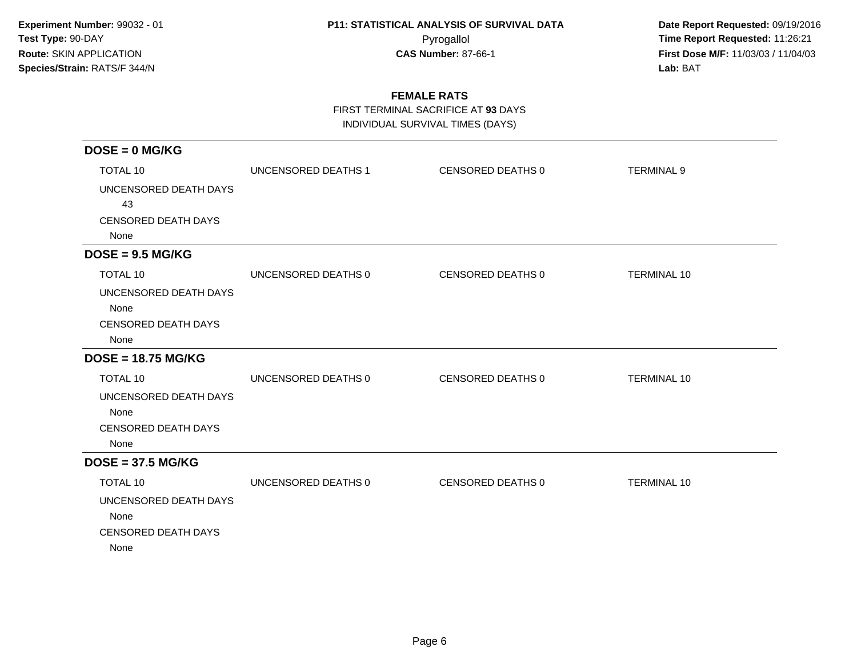**Date Report Requested:** 09/19/2016 Pyrogallol **Time Report Requested:** 11:26:21 **First Dose M/F:** 11/03/03 / 11/04/03<br>**Lab:** BAT **Lab:** BAT

### **FEMALE RATS**

FIRST TERMINAL SACRIFICE AT **93** DAYS

INDIVIDUAL SURVIVAL TIMES (DAYS)

| $DOSE = 0$ MG/KG                   |                     |                   |                    |
|------------------------------------|---------------------|-------------------|--------------------|
| <b>TOTAL 10</b>                    | UNCENSORED DEATHS 1 | CENSORED DEATHS 0 | <b>TERMINAL 9</b>  |
| UNCENSORED DEATH DAYS<br>43        |                     |                   |                    |
| <b>CENSORED DEATH DAYS</b>         |                     |                   |                    |
| None                               |                     |                   |                    |
| $DOSE = 9.5 MG/KG$                 |                     |                   |                    |
| TOTAL 10                           | UNCENSORED DEATHS 0 | CENSORED DEATHS 0 | <b>TERMINAL 10</b> |
| UNCENSORED DEATH DAYS              |                     |                   |                    |
| None                               |                     |                   |                    |
| <b>CENSORED DEATH DAYS</b><br>None |                     |                   |                    |
| $DOSE = 18.75 MG/KG$               |                     |                   |                    |
| <b>TOTAL 10</b>                    | UNCENSORED DEATHS 0 | CENSORED DEATHS 0 | <b>TERMINAL 10</b> |
| UNCENSORED DEATH DAYS              |                     |                   |                    |
| None                               |                     |                   |                    |
| <b>CENSORED DEATH DAYS</b>         |                     |                   |                    |
| None                               |                     |                   |                    |
| $DOSE = 37.5 MG/KG$                |                     |                   |                    |
| <b>TOTAL 10</b>                    | UNCENSORED DEATHS 0 | CENSORED DEATHS 0 | <b>TERMINAL 10</b> |
| UNCENSORED DEATH DAYS              |                     |                   |                    |
| None                               |                     |                   |                    |
| <b>CENSORED DEATH DAYS</b>         |                     |                   |                    |
| None                               |                     |                   |                    |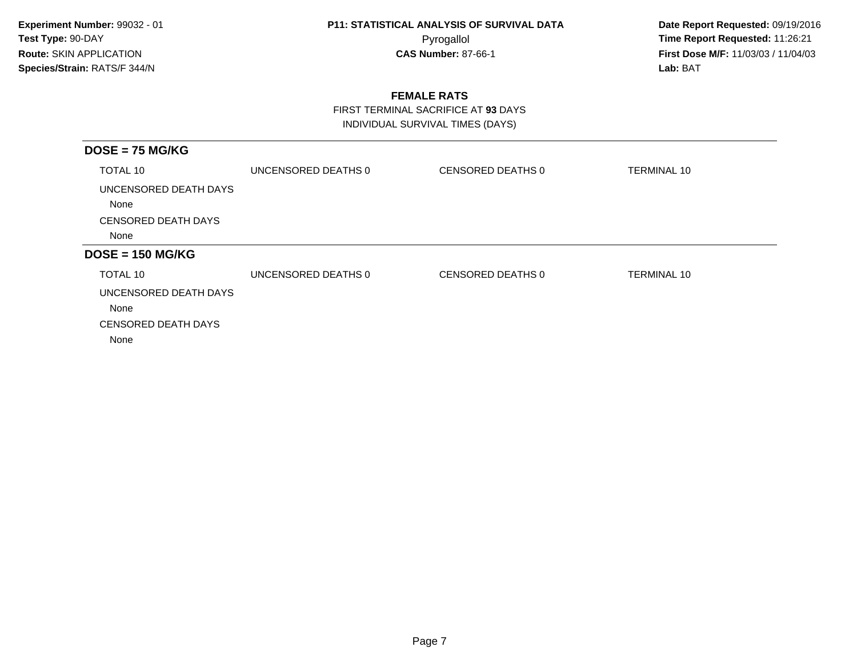**Date Report Requested:** 09/19/2016 Pyrogallol **Time Report Requested:** 11:26:21 **First Dose M/F:** 11/03/03 / 11/04/03<br>**Lab:** BAT **Lab:** BAT

### **FEMALE RATS**

 FIRST TERMINAL SACRIFICE AT **93** DAYSINDIVIDUAL SURVIVAL TIMES (DAYS)

| UNCENSORED DEATHS 0 | CENSORED DEATHS 0 | <b>TERMINAL 10</b> |
|---------------------|-------------------|--------------------|
|                     |                   |                    |
|                     |                   |                    |
|                     |                   |                    |
|                     |                   |                    |
| UNCENSORED DEATHS 0 | CENSORED DEATHS 0 | TERMINAL 10        |
|                     |                   |                    |
|                     |                   |                    |
|                     |                   |                    |
|                     |                   |                    |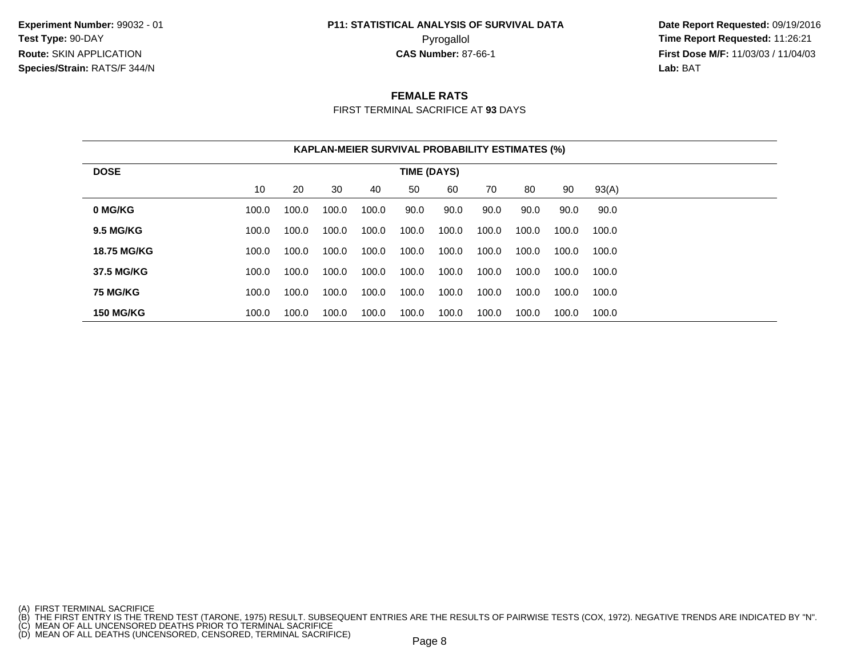## **P11: STATISTICAL ANALYSIS OF SURVIVAL DATA**

 **Date Report Requested:** 09/19/2016 Pyrogallol **Time Report Requested:** 11:26:21 **First Dose M/F:** 11/03/03 / 11/04/03<br>**Lab:** BAT **Lab:** BAT

#### **FEMALE RATS**

FIRST TERMINAL SACRIFICE AT **93** DAYS

|                    |       |       |       |       |             | <b>KAPLAN-MEIER SURVIVAL PROBABILITY ESTIMATES (%)</b> |       |       |       |       |
|--------------------|-------|-------|-------|-------|-------------|--------------------------------------------------------|-------|-------|-------|-------|
| <b>DOSE</b>        |       |       |       |       | TIME (DAYS) |                                                        |       |       |       |       |
|                    | 10    | 20    | 30    | 40    | 50          | 60                                                     | 70    | 80    | 90    | 93(A) |
| 0 MG/KG            | 100.0 | 100.0 | 100.0 | 100.0 | 90.0        | 90.0                                                   | 90.0  | 90.0  | 90.0  | 90.0  |
| <b>9.5 MG/KG</b>   | 100.0 | 100.0 | 100.0 | 100.0 | 100.0       | 100.0                                                  | 100.0 | 100.0 | 100.0 | 100.0 |
| <b>18.75 MG/KG</b> | 100.0 | 100.0 | 100.0 | 100.0 | 100.0       | 100.0                                                  | 100.0 | 100.0 | 100.0 | 100.0 |
| 37.5 MG/KG         | 100.0 | 100.0 | 100.0 | 100.0 | 100.0       | 100.0                                                  | 100.0 | 100.0 | 100.0 | 100.0 |
| <b>75 MG/KG</b>    | 100.0 | 100.0 | 100.0 | 100.0 | 100.0       | 100.0                                                  | 100.0 | 100.0 | 100.0 | 100.0 |
| <b>150 MG/KG</b>   | 100.0 | 100.0 | 100.0 | 100.0 | 100.0       | 100.0                                                  | 100.0 | 100.0 | 100.0 | 100.0 |

- 
- 

<sup>(</sup>A) FIRST TERMINAL SACRIFICE<br>(B) THE FIRST ENTRY IS THE TREND TEST (TARONE, 1975) RESULT. SUBSEQUENT ENTRIES ARE THE RESULTS OF PAIRWISE TESTS (COX, 1972). NEGATIVE TRENDS ARE INDICATED BY "N".<br>(C) MEAN OF ALL UNCENSORED D